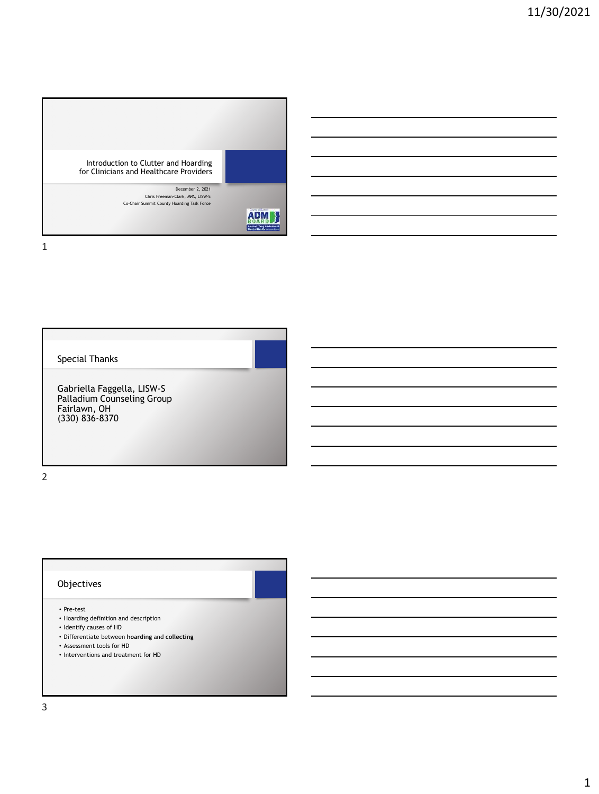

Special Thanks

Gabriella Faggella, LISW-S Palladium Counseling Group Fairlawn, OH (330) 836-8370

2

## Objectives

- Pre-test
- Hoarding definition and description
- Identify causes of HD
- Differentiate between **hoarding** and **collecting**
- Assessment tools for HD
- Interventions and treatment for HD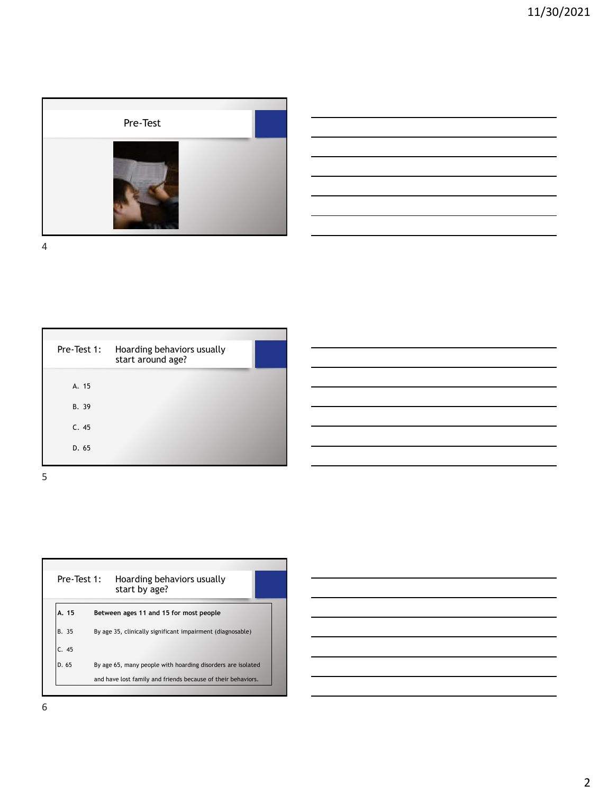

| <u> 1989 - Johann Barn, mars ann an t-Amhainn an t-Amhainn an t-Amhainn an t-Amhainn an t-Amhainn an t-Amhainn an </u> |  |  |
|------------------------------------------------------------------------------------------------------------------------|--|--|
| <u> 1989 - Johann Barn, mars ann an t-Amhainn an t-Amhainn an t-Amhainn an t-Amhainn an t-Amhainn an t-Amhainn an</u>  |  |  |
| <u> 1989 - Johann Barn, mars ann an t-Amhainn an t-Amhainn an t-Amhainn an t-Amhainn an t-Amhainn an t-Amhainn an </u> |  |  |
| <u> 1989 - Andrea Barbara, Amerikaansk politiker († 1908)</u>                                                          |  |  |
|                                                                                                                        |  |  |
| ,我们也不会有什么。""我们的人,我们也不会有什么?""我们的人,我们也不会有什么?""我们的人,我们也不会有什么?""我们的人,我们也不会有什么?""我们的人                                       |  |  |

<u> 1989 - Johann Barn, mars ann an t-Amhain Aonaich an t-Aonaich an t-Aonaich ann an t-Aonaich ann an t-Aonaich</u>

<u> 1989 - Johann Barbara, martxa alemaniar a</u> 

<u> 1989 - Johann Barn, amerikansk politiker (</u> 

4

| Pre-Test 1: | Hoarding behaviors usually<br>start around age? |  |
|-------------|-------------------------------------------------|--|
| A. 15       |                                                 |  |
| B. 39       |                                                 |  |
| C.45        |                                                 |  |
| D. 65       |                                                 |  |
|             |                                                 |  |

| Pre-Test 1: | Hoarding behaviors usually<br>start by age?                  |  |
|-------------|--------------------------------------------------------------|--|
| A. 15       | Between ages 11 and 15 for most people                       |  |
| B. 35       | By age 35, clinically significant impairment (diagnosable)   |  |
| C.45        |                                                              |  |
| D.65        | By age 65, many people with hoarding disorders are isolated  |  |
|             | and have lost family and friends because of their behaviors. |  |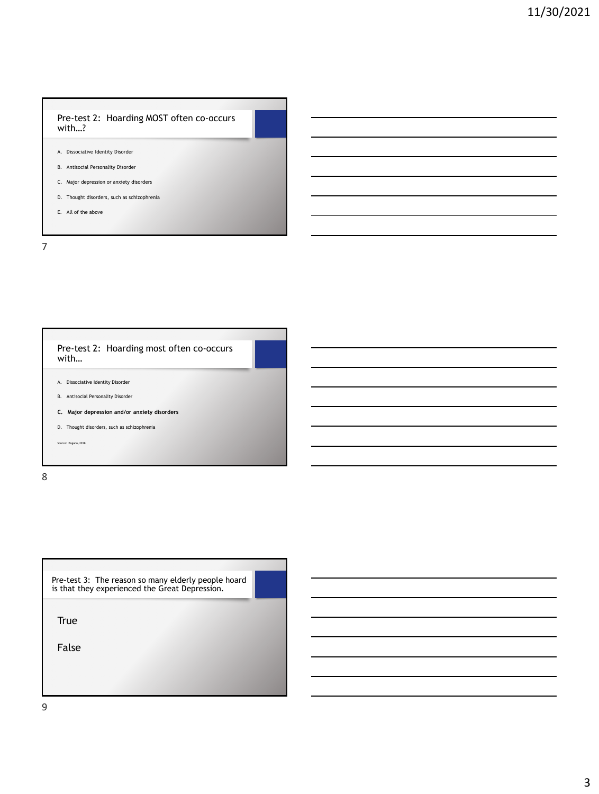### Pre-test 2: Hoarding MOST often co-occurs with…?

- A. Dissociative Identity Disorder
- B. Antisocial Personality Disorder
- C. Major depression or anxiety disorders
- D. Thought disorders, such as schizophrenia
- E. All of the above

7

| Pre-test 2: Hoarding most often co-occurs<br>with                                              |  |
|------------------------------------------------------------------------------------------------|--|
| Dissociative Identity Disorder<br>A.                                                           |  |
| B. Antisocial Personality Disorder                                                             |  |
| C. Major depression and/or anxiety disorders<br>Thought disorders, such as schizophrenia<br>D. |  |
| Source: Pagano, 2018                                                                           |  |
|                                                                                                |  |

8

| Pre-test 3: The reason so many elderly people hoard |  |
|-----------------------------------------------------|--|
| is that they experienced the Great Depression.      |  |

True

False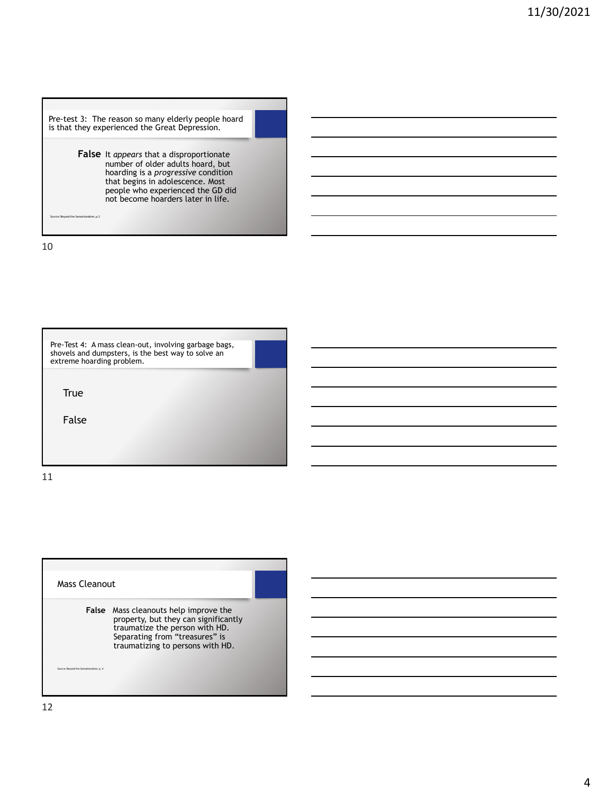Pre-test 3: The reason so many elderly people hoard is that they experienced the Great Depression. **False** It *appears* that a disproportionate number of older adults hoard, but hoarding is a *progressive* condition that begins in adolescence. Most people who experienced the GD did not become hoarders later in life. source: Beyond the Sensation Sensation Computer Lines.<br>Sensation de Sensation de Sensation de Sensation de Sensation (Internacion de Locación de Locación de Locación<br>Sensation de Sensation de Sensation de Sensation de Sens

10



Mass Cleanout **False** Mass cleanouts help improve the property, but they can significantly traumatize the person with HD. Separating from "treasures" is traumatizing to persons with HD. source: Beyond the Sensation Computer Lines.<br>Sensation Computer Lines.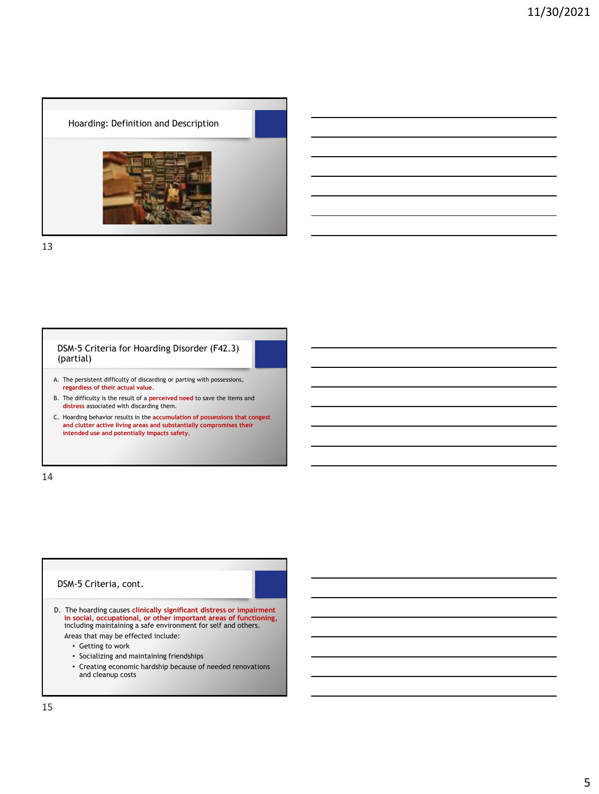Hoarding: Definition and Description

13

### DSM-5 Criteria for Hoarding Disorder (F42.3) (partial)

- A. The persistent difficulty of discarding or parting with possessions, **regardless of their actual value**.
- B. The difficulty is the result of a **perceived need** to save the items and **distress** associated with discarding them.
- C. Hoarding behavior results in the **accumulation of possessions that congest and clutter active living areas and substantially compromises their intended use and potentially impacts safety**.

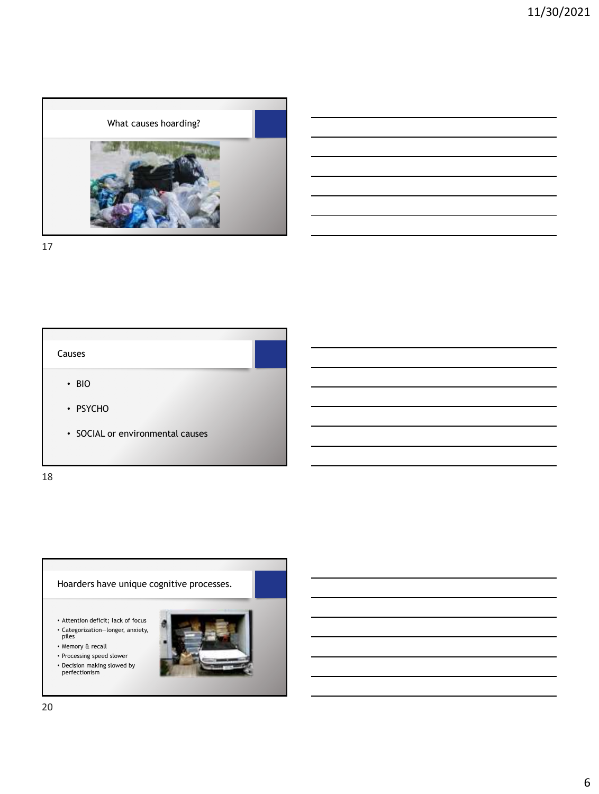





- Attention deficit; lack of focus
- Categorization―longer, anxiety, piles
- Memory & recall
- Processing speed slower
- Decision making slowed by perfectionism

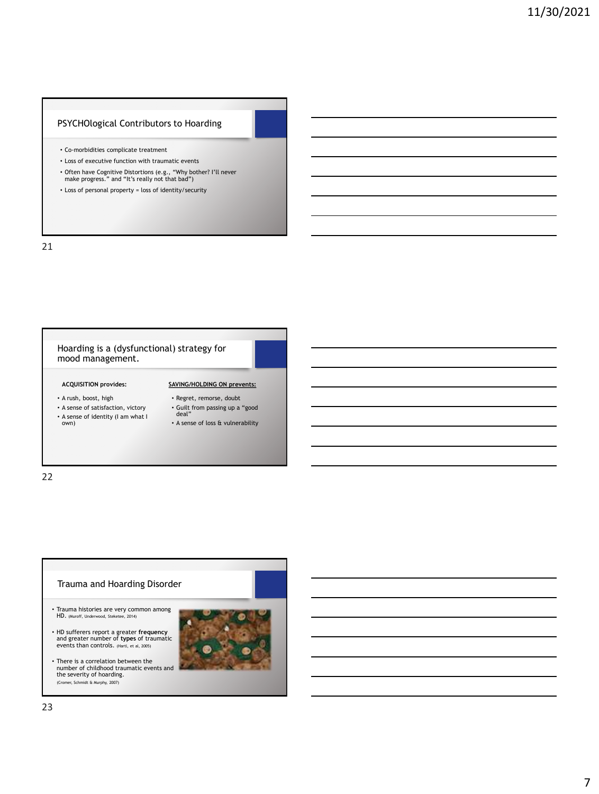### PSYCHOlogical Contributors to Hoarding

- Co-morbidities complicate treatment
- Loss of executive function with traumatic events
- Often have Cognitive Distortions (e.g., "Why bother? I'll never make progress." and "It's really not that bad")
- Loss of personal property = loss of identity/security

21

### Hoarding is a (dysfunctional) strategy for mood management.

### **ACQUISITION provides:**

- A rush, boost, high
- A sense of satisfaction, victory deal"
- A sense of identity (I am what I own)
- Regret, remorse, doubt • Guilt from passing up a "good

**SAVING/HOLDING ON prevents:**

• A sense of loss & vulnerability

22

# Trauma and Hoarding Disorder • Trauma histories are very common among HD. (Muroff, Underwood, Steketee, 2014)

- HD sufferers report a greater **frequency** and greater number of **types** of traumatic events than controls. (Hartl, et al, 2005)
- There is a correlation between the number of childhood traumatic events and the severity of hoarding. (Cromer, Schmidt & Murphy, 2007)

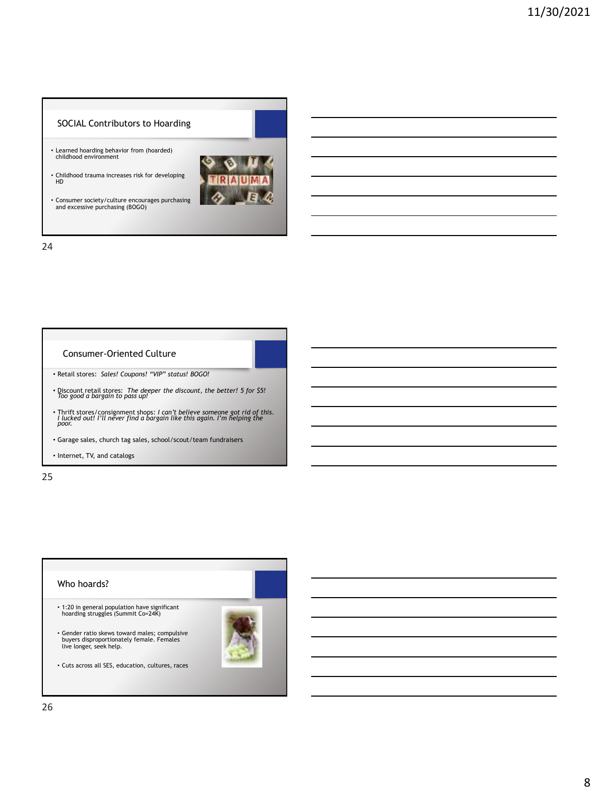## SOCIAL Contributors to Hoarding

- Learned hoarding behavior from (hoarded) childhood environment
- Childhood trauma increases risk for developing HD
- Consumer society/culture encourages purchasing and excessive purchasing (BOGO)



24

### Consumer-Oriented Culture

- Retail stores: *Sales! Coupons! "VIP" status! BOGO!*
- Discount retail stores: *The deeper the discount, the better! 5 for \$5! Too good a bargain to pass up!*
- Thrift stores/consignment shops: *I can't believe someone got rid of this. I lucked out! I'll never find a bargain like this again. I'm helping the poor.*
- Garage sales, church tag sales, school/scout/team fundraisers
- Internet, TV, and catalogs

25

# Who hoards? • 1:20 in general population have significant hoarding struggles (Summit Co=24K) • Gender ratio skews toward males; compulsive buyers disproportionately female. Females live longer, seek help. • Cuts across all SES, education, cultures, races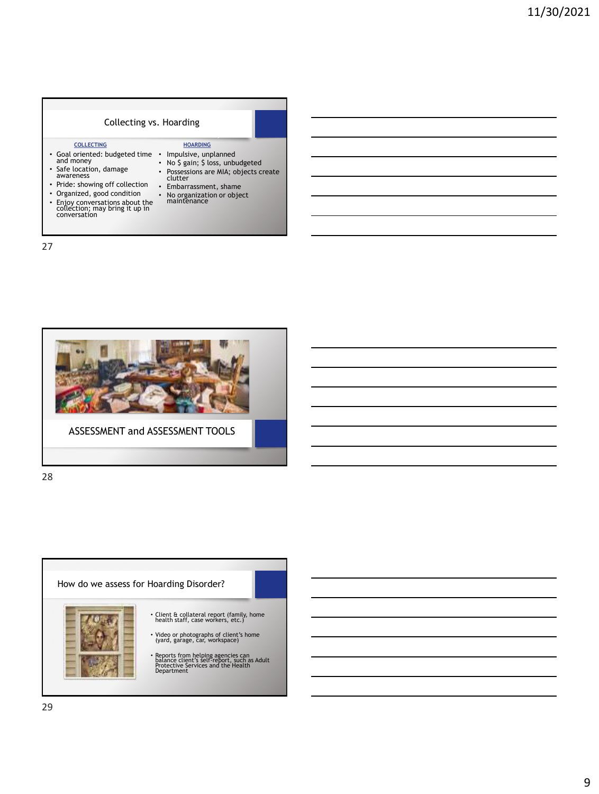### Collecting vs. Hoarding Neziroglu, et al, 2004 **COLLECTING** • Goal oriented: budgeted time and money • Impulsive, unplanned • No \$ gain; \$ loss, unbudgeted • Safe location, damage awareness • Pride: showing off collection • Embarrassment, shame • Organized, good condition • Enjoy conversations about the collection; may bring it up in conversation • Possessions are MIA; objects create clutter • No organization or object maintenance **HOARDING**

27



ASSESSMENT and ASSESSMENT TOOLS

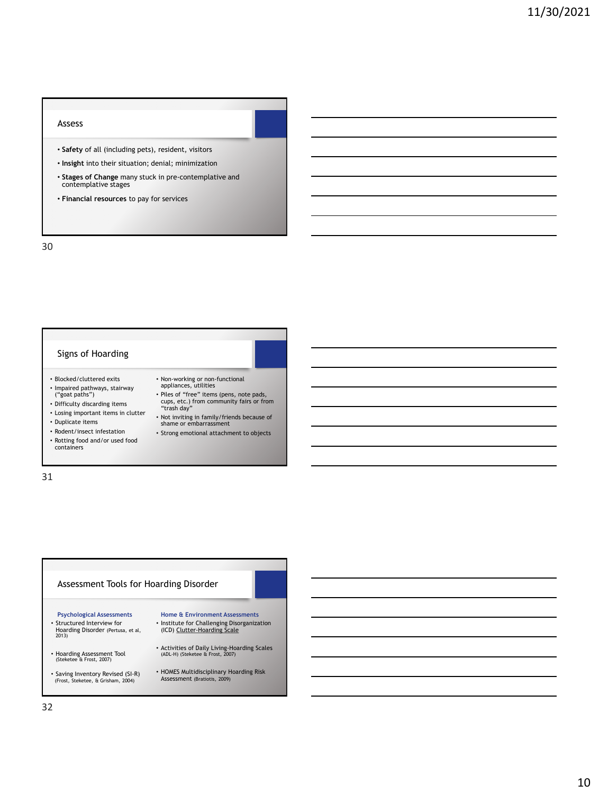#### Assess

- **Safety** of all (including pets), resident, visitors
- **Insight** into their situation; denial; minimization
- **Stages of Change** many stuck in pre-contemplative and contemplative stages
- **Financial resources** to pay for services

30

### Signs of Hoarding

- Blocked/cluttered exits
- Impaired pathways, stairway ("goat paths")
- Difficulty discarding items
- Losing important items in clutter
- Duplicate items
- 
- Rodent/insect infestation
- Rotting food and/or used food containers
- Non-working or non-functional appliances, utilities
- Piles of "free" items (pens, note pads, cups, etc.) from community fairs or from "trash day"
- Not inviting in family/friends because of shame or embarrassment
- Strong emotional attachment to objects

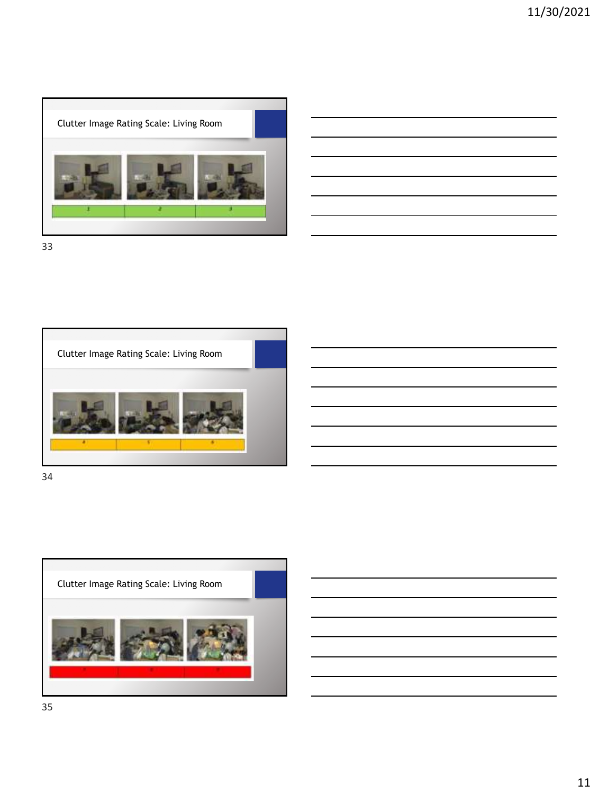



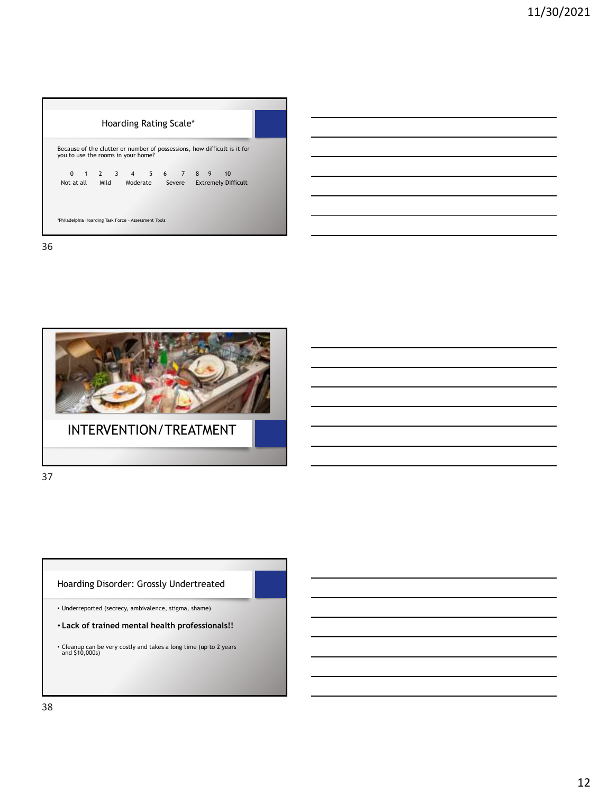| Hoarding Rating Scale*                                                                                         |  |
|----------------------------------------------------------------------------------------------------------------|--|
| Because of the clutter or number of possessions, how difficult is it for<br>you to use the rooms in your home? |  |
| 0 1 2 3 4 5 6 7 8 9 10<br>Not at all Mild Moderate Severe Extremely Difficult                                  |  |
| *Philadelphia Hoarding Task Force - Assessment Tools                                                           |  |



37

Hoarding Disorder: Grossly Undertreated

• Underreported (secrecy, ambivalence, stigma, shame)

- **Lack of trained mental health professionals!!**
- Cleanup can be very costly and takes a long time (up to 2 years and \$10,000s)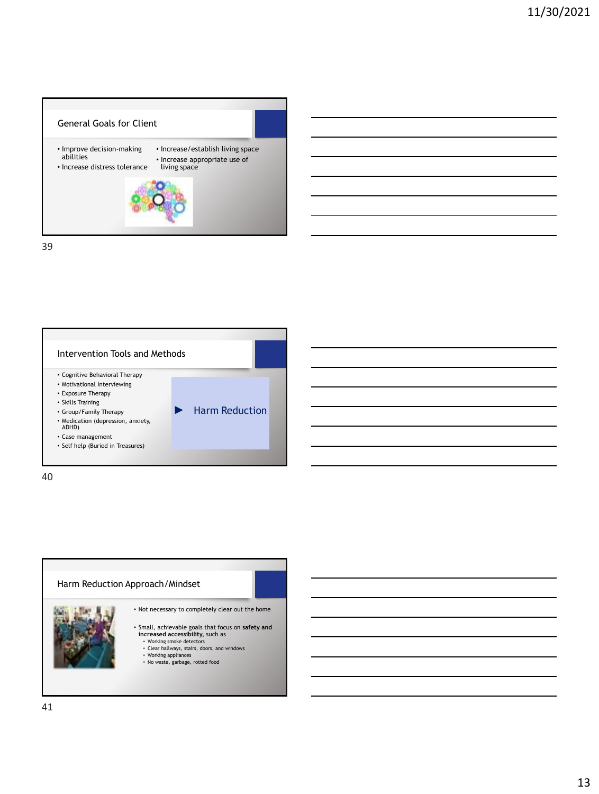



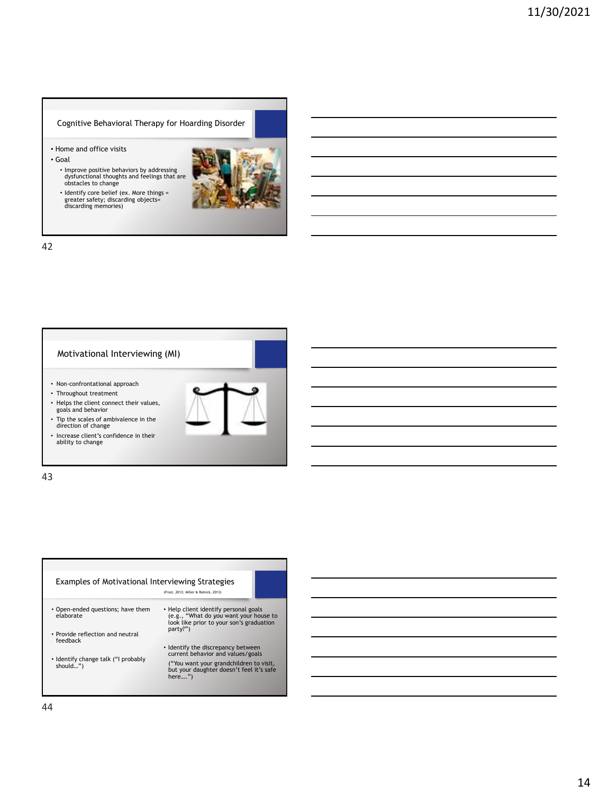Cognitive Behavioral Therapy for Hoarding Disorder

- Home and office visits
- Goal
	- Improve positive behaviors by addressing dysfunctional thoughts and feelings that are obstacles to change
	- Identify core belief (ex. More things = greater safety; discarding objects= discarding memories)



42

### Motivational Interviewing (MI)

- Non-confrontational approach
- Throughout treatment
- Helps the client connect their values, goals and behavior
- Tip the scales of ambivalence in the direction of change
- Increase client's confidence in their ability to change

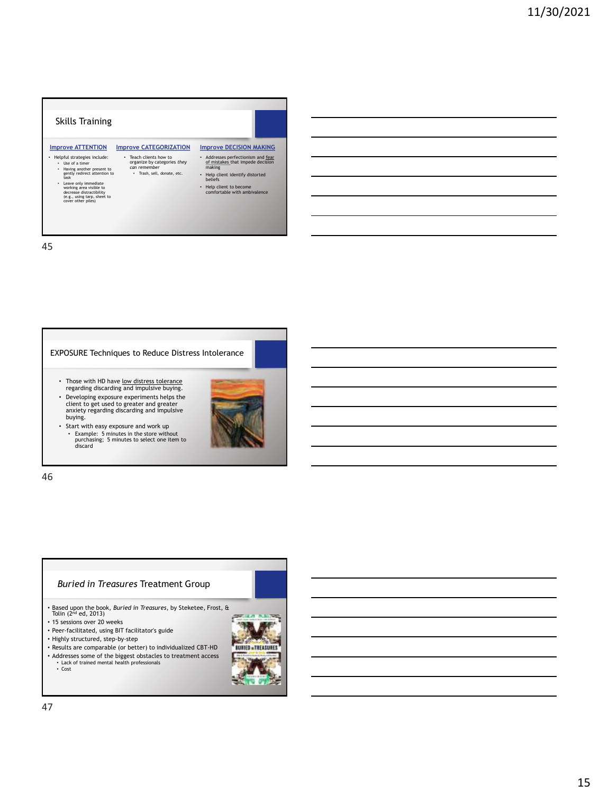



46

### *Buried in Treasures* Treatment Group

- Based upon the book, *Buried in Treasures*, by Steketee, Frost, & Tolin (2nd ed, 2013)
- 15 sessions over 20 weeks
- Peer-facilitated, using BIT facilitator's guide
- Highly structured, step-by-step
- Results are comparable (or better) to individualized CBT-HD

**BURIER - TREASURER** 

- Addresses some of the biggest obstacles to treatment access
	- Lack of trained mental health professionals Cost
		-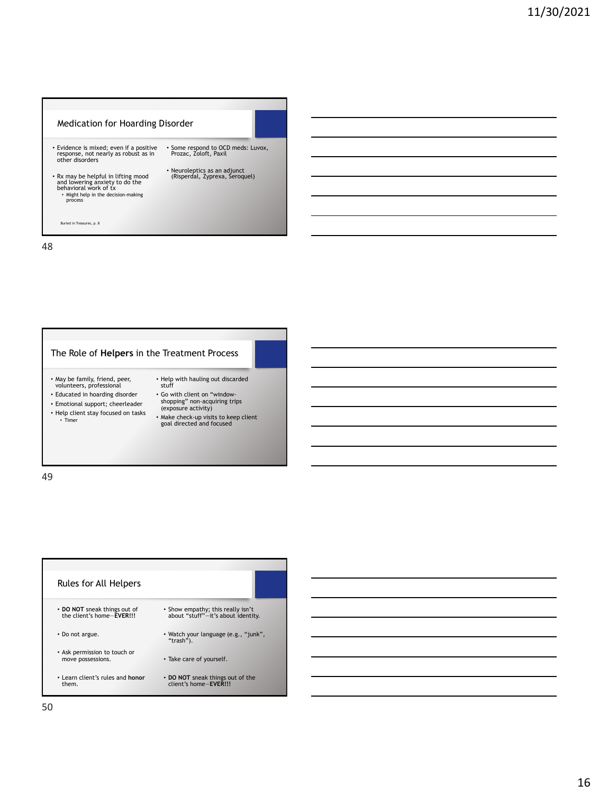

# The Role of **Helpers** in the Treatment Process

- May be family, friend, peer, volunteers, professional
- Educated in hoarding disorder
- Emotional support; cheerleader
- 
- Help client stay focused on tasks Timer
- Help with hauling out discarded stuff • Go with client on "window-shopping" non-acquiring trips (exposure activity)
	- Make check-up visits to keep client goal directed and focused

| Rules for All Helpers                                     |                                                                         |
|-----------------------------------------------------------|-------------------------------------------------------------------------|
| • DO NOT sneak things out of<br>the client's home-EVER!!! | • Show empathy; this really isn't<br>about "stuff"-it's about identity. |
| • Do not argue.                                           | • Watch your language (e.g., "junk",<br>"trash").                       |
| • Ask permission to touch or<br>move possessions.         | • Take care of yourself.                                                |
| • Learn client's rules and honor<br>them.                 | • DO NOT sneak things out of the<br>client's home-FVFRIII               |

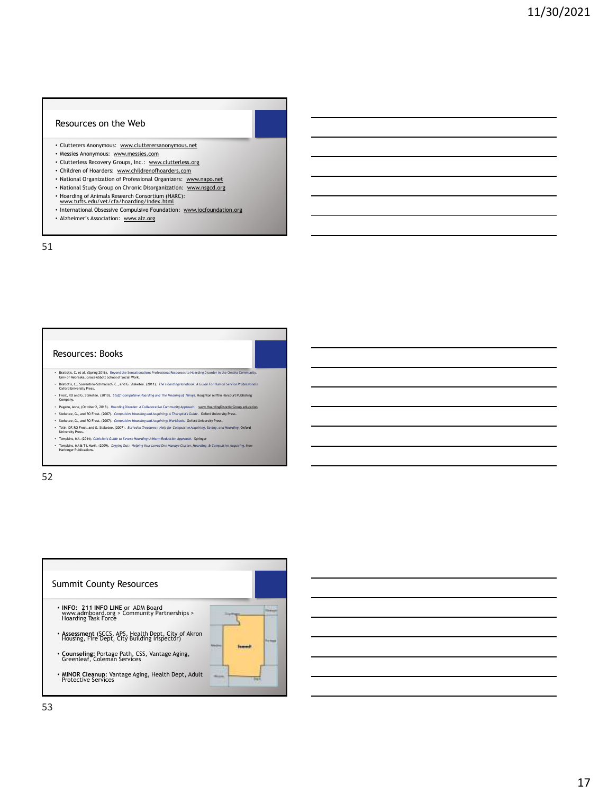### Resources on the Web

- Clutterers Anonymous: [www.clutterersanonymous.net](http://www.clutterersanonymous.net/)
- Messies Anonymous: [www.messies.com](http://www.messies.com/)
- Clutterless Recovery Groups, Inc.: [www.clutterless.org](http://www.clutterless.org/)
- Children of Hoarders: [www.childrenofhoarders.com](http://www.childrenofhoarders.com/)
- National Organization of Professional Organizers: [www.napo.net](http://www.napo.net/)
- National Study Group on Chronic Disorganization: [www.nsgcd.org](http://www.nsgcd.org/)
- Hoarding of Animals Research Consortium (HARC): [www.tufts.edu/vet/cfa/hoarding/index.html](http://www.tufts.edu/vet/cfa/hoarding/index.html)
- 
- International Obsessive Compulsive Foundation: [www.iocfoundation.org](http://www.ocfoundation.org/)
- Alzheimer's Association: [www.alz.org](http://www.alz.org/)

51

### Resources: Books

- Bratiotis, C. et al, (Spring 2016). Beyond the Sensationalism: Professional Responses to Hoarding Disorder in the Omaha Community. Univ of Nebraska, Grace Abbott School of Social Work.
- Bratiotis, C., Sorrentino-Schmalisch, C., and G. Steketee. (2011). *The Hoarding Handbook: A Guide For Human Service Professionals.* Oxford University Press.
- Frost, RO and G. Steketee. (2010). *Stuff: Compulsive Hoarding and The Meaning of Things.* Houghton Mifflin Harcourt Publishing Company.
- Pagano, Anne, (October 2, 2018). Hoarding Disorder: A Collaborative Community Approach. <u>[www.HoardingDisorderGroup.education](http://www.hoardingdisordergroup.education/)</u><br>• Steketee, G., and RO Frost, L2007). Compulsive Hoarding and Acquiring: A Theropist Sculde. O
- 
- Tolin, DF, RO Frost, and G. Steketee. (2007). *Buried in Treasures: Help for Compulsive Acquiring, Saving, and Hoarding.* Oxford
- University Press.
- Tompkins, MA. (2014). Clinician's Guide to Severe Hoarding: A Harm Reduction Approach. Springer<br>• Tompkins, MA & TLHartl. (2009). Digging Out: Helping Your Loved One Manage Clutter, Hoarding, & Compulsive Acquiring. N